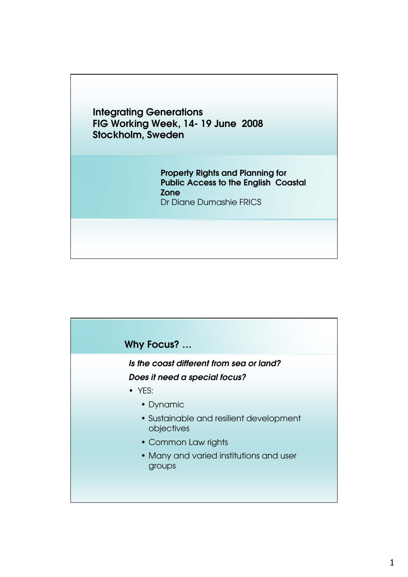

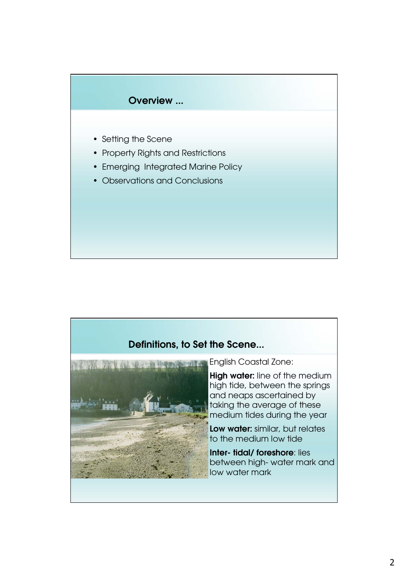

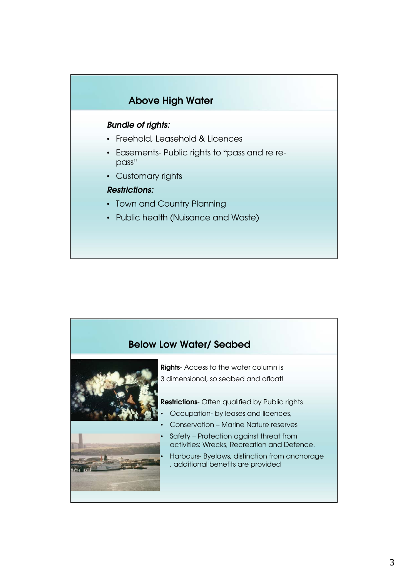

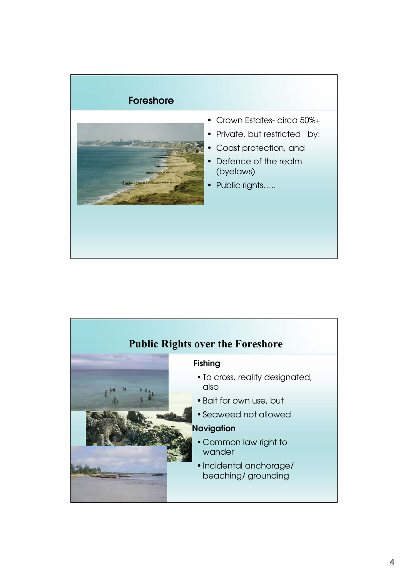

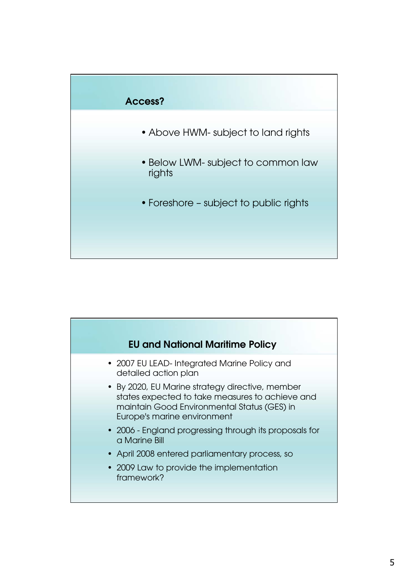

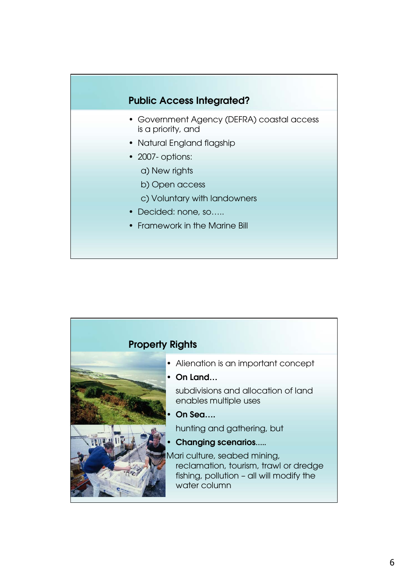## **Public Access Integrated?**

- Government Agency (DEFRA) coastal access is a priority, and
- Natural England flagship
- 2007- options:
	- a) New rights
	- b) Open access
	- c) Voluntary with landowners
- Decided: none, so…..
- Framework in the Marine Bill

| <b>Property Rights</b> |                                                                                                                                                                                              |
|------------------------|----------------------------------------------------------------------------------------------------------------------------------------------------------------------------------------------|
|                        | • Alienation is an important concept<br>$\cdot$ On Land<br>subdivisions and allocation of land<br>enables multiple uses<br>On Sea<br>hunting and gathering, but<br><b>Changing scenarios</b> |
|                        | Mari culture, seabed mining,<br>reclamation, tourism, trawl or dredge<br>fishing, pollution - all will modify the<br>water column                                                            |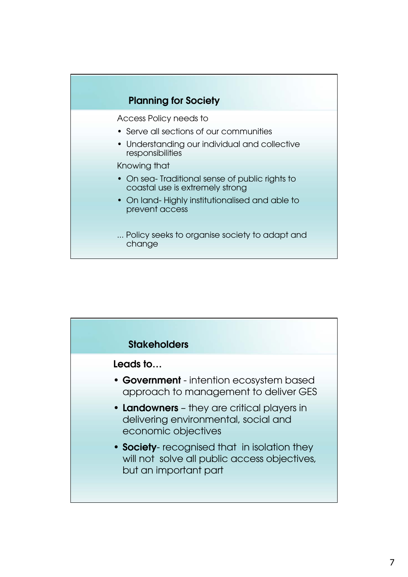

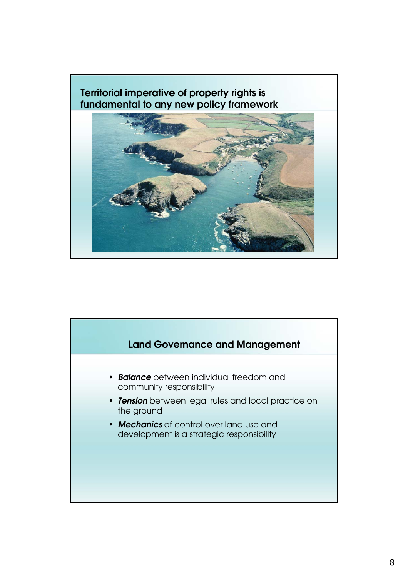## **Territorial imperative of property rights is fundamental to any new policy framework**



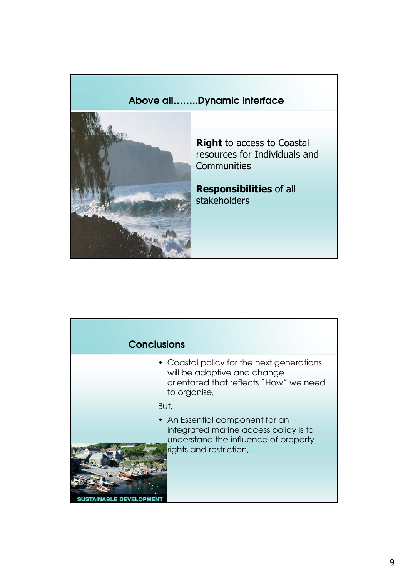## **Above all……..Dynamic interface**



**Right** to access to Coastal resources for Individuals and **Communities** 

**Responsibilities** of all stakeholders